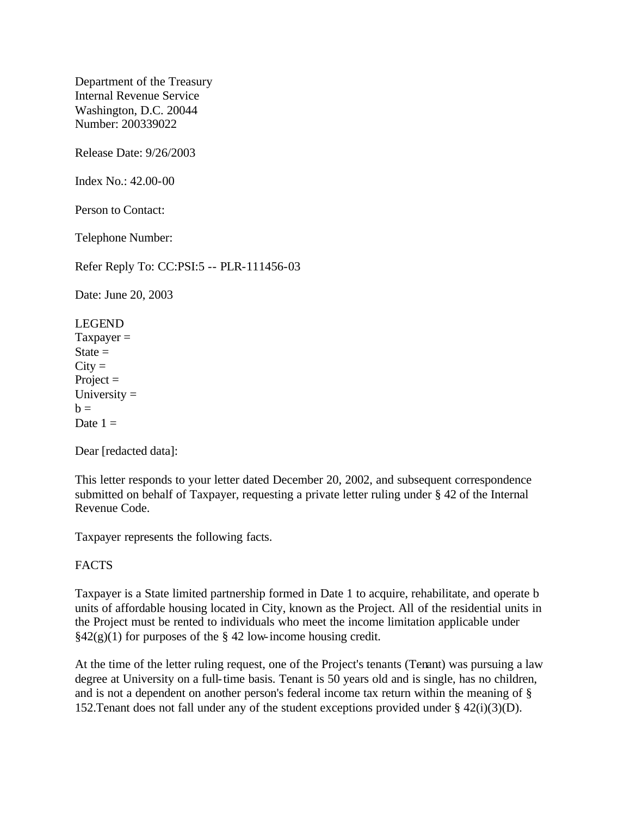Department of the Treasury Internal Revenue Service Washington, D.C. 20044 Number: 200339022

Release Date: 9/26/2003

Index No.: 42.00-00

Person to Contact:

Telephone Number:

Refer Reply To: CC:PSI:5 -- PLR-111456-03

Date: June 20, 2003

LEGEND  $Taxpayer =$  $State =$  $City =$ Project  $=$ University  $=$  $h =$ Date  $1 =$ 

Dear [redacted data]:

This letter responds to your letter dated December 20, 2002, and subsequent correspondence submitted on behalf of Taxpayer, requesting a private letter ruling under § 42 of the Internal Revenue Code.

Taxpayer represents the following facts.

## FACTS

Taxpayer is a State limited partnership formed in Date 1 to acquire, rehabilitate, and operate b units of affordable housing located in City, known as the Project. All of the residential units in the Project must be rented to individuals who meet the income limitation applicable under  $\S42(g)(1)$  for purposes of the  $\S 42$  low-income housing credit.

At the time of the letter ruling request, one of the Project's tenants (Tenant) was pursuing a law degree at University on a full-time basis. Tenant is 50 years old and is single, has no children, and is not a dependent on another person's federal income tax return within the meaning of § 152. Tenant does not fall under any of the student exceptions provided under  $\S$  42(i)(3)(D).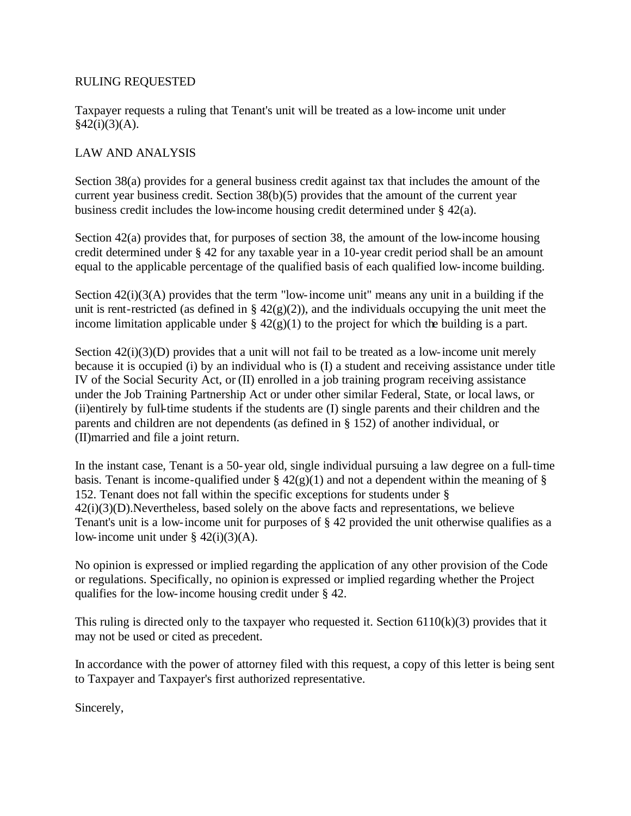## RULING REQUESTED

Taxpayer requests a ruling that Tenant's unit will be treated as a low-income unit under  $§42(i)(3)(A).$ 

## LAW AND ANALYSIS

Section 38(a) provides for a general business credit against tax that includes the amount of the current year business credit. Section 38(b)(5) provides that the amount of the current year business credit includes the low-income housing credit determined under § 42(a).

Section 42(a) provides that, for purposes of section 38, the amount of the low-income housing credit determined under § 42 for any taxable year in a 10-year credit period shall be an amount equal to the applicable percentage of the qualified basis of each qualified low-income building.

Section 42(i)(3(A) provides that the term "low-income unit" means any unit in a building if the unit is rent-restricted (as defined in §  $42(g)(2)$ ), and the individuals occupying the unit meet the income limitation applicable under  $\S 42(g)(1)$  to the project for which the building is a part.

Section  $42(i)(3)(D)$  provides that a unit will not fail to be treated as a low-income unit merely because it is occupied (i) by an individual who is (I) a student and receiving assistance under title IV of the Social Security Act, or (II) enrolled in a job training program receiving assistance under the Job Training Partnership Act or under other similar Federal, State, or local laws, or (ii)entirely by full-time students if the students are (I) single parents and their children and the parents and children are not dependents (as defined in § 152) of another individual, or (II)married and file a joint return.

In the instant case, Tenant is a 50-year old, single individual pursuing a law degree on a full-time basis. Tenant is income-qualified under  $\S$  42(g)(1) and not a dependent within the meaning of  $\S$ 152. Tenant does not fall within the specific exceptions for students under § 42(i)(3)(D).Nevertheless, based solely on the above facts and representations, we believe Tenant's unit is a low-income unit for purposes of § 42 provided the unit otherwise qualifies as a low-income unit under  $\S$  42(i)(3)(A).

No opinion is expressed or implied regarding the application of any other provision of the Code or regulations. Specifically, no opinion is expressed or implied regarding whether the Project qualifies for the low-income housing credit under § 42.

This ruling is directed only to the taxpayer who requested it. Section  $6110(k)(3)$  provides that it may not be used or cited as precedent.

In accordance with the power of attorney filed with this request, a copy of this letter is being sent to Taxpayer and Taxpayer's first authorized representative.

Sincerely,